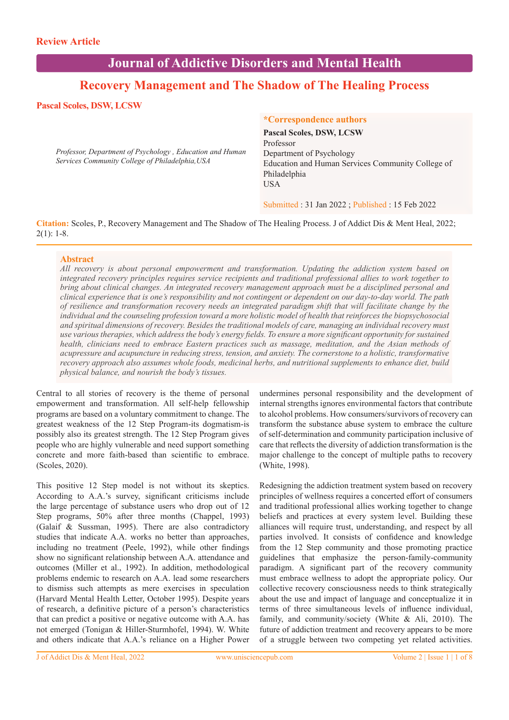# **Journal of Addictive Disorders and Mental Health**

## **Recovery Management and The Shadow of The Healing Process**

## **Pascal Scoles, DSW, LCSW**

*Professor, Department of Psychology , Education and Human Services Community College of Philadelphia,USA*

## **\*Correspondence authors**

**Pascal Scoles, DSW, LCSW**  Professor Department of Psychology Education and Human Services Community College of Philadelphia USA

Submitted : 31 Jan 2022 ; Published : 15 Feb 2022

**Citation:** Scoles, P., Recovery Management and The Shadow of The Healing Process. J of Addict Dis & Ment Heal, 2022;  $2(1): 1-8.$ 

#### **Abstract**

*All recovery is about personal empowerment and transformation. Updating the addiction system based on integrated recovery principles requires service recipients and traditional professional allies to work together to bring about clinical changes. An integrated recovery management approach must be a disciplined personal and clinical experience that is one's responsibility and not contingent or dependent on our day-to-day world. The path of resilience and transformation recovery needs an integrated paradigm shift that will facilitate change by the individual and the counseling profession toward a more holistic model of health that reinforces the biopsychosocial and spiritual dimensions of recovery. Besides the traditional models of care, managing an individual recovery must use various therapies, which address the body's energy fields. To ensure a more significant opportunity for sustained health, clinicians need to embrace Eastern practices such as massage, meditation, and the Asian methods of acupressure and acupuncture in reducing stress, tension, and anxiety. The cornerstone to a holistic, transformative recovery approach also assumes whole foods, medicinal herbs, and nutritional supplements to enhance diet, build physical balance, and nourish the body's tissues.* 

Central to all stories of recovery is the theme of personal empowerment and transformation. All self-help fellowship programs are based on a voluntary commitment to change. The greatest weakness of the 12 Step Program-its dogmatism-is possibly also its greatest strength. The 12 Step Program gives people who are highly vulnerable and need support something concrete and more faith-based than scientific to embrace. (Scoles, 2020).

This positive 12 Step model is not without its skeptics. According to A.A.'s survey, significant criticisms include the large percentage of substance users who drop out of 12 Step programs, 50% after three months (Chappel, 1993) (Galaif & Sussman, 1995). There are also contradictory studies that indicate A.A. works no better than approaches, including no treatment (Peele, 1992), while other findings show no significant relationship between A.A. attendance and outcomes (Miller et al., 1992). In addition, methodological problems endemic to research on A.A. lead some researchers to dismiss such attempts as mere exercises in speculation (Harvard Mental Health Letter, October 1995). Despite years of research, a definitive picture of a person's characteristics that can predict a positive or negative outcome with A.A. has not emerged (Tonigan & Hiller-Sturmhofel, 1994). W. White and others indicate that A.A.'s reliance on a Higher Power

undermines personal responsibility and the development of internal strengths ignores environmental factors that contribute to alcohol problems. How consumers/survivors of recovery can transform the substance abuse system to embrace the culture of self-determination and community participation inclusive of care that reflects the diversity of addiction transformation is the major challenge to the concept of multiple paths to recovery (White, 1998).

Redesigning the addiction treatment system based on recovery principles of wellness requires a concerted effort of consumers and traditional professional allies working together to change beliefs and practices at every system level. Building these alliances will require trust, understanding, and respect by all parties involved. It consists of confidence and knowledge from the 12 Step community and those promoting practice guidelines that emphasize the person-family-community paradigm. A significant part of the recovery community must embrace wellness to adopt the appropriate policy. Our collective recovery consciousness needs to think strategically about the use and impact of language and conceptualize it in terms of three simultaneous levels of influence individual, family, and community/society (White & Ali, 2010). The future of addiction treatment and recovery appears to be more of a struggle between two competing yet related activities.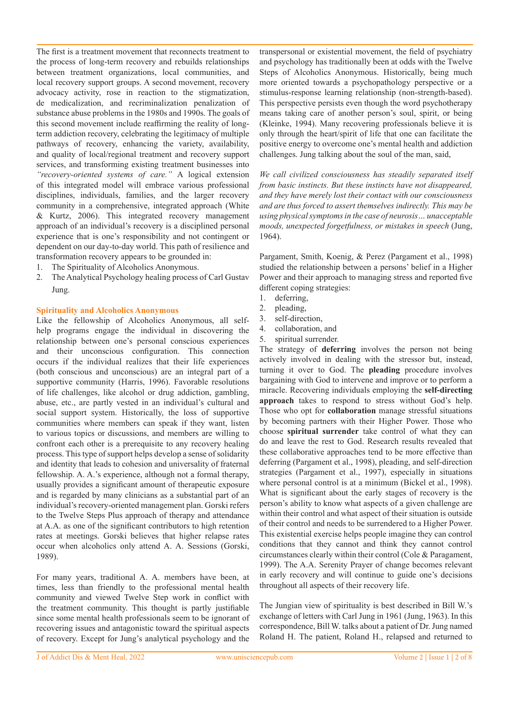The first is a treatment movement that reconnects treatment to the process of long-term recovery and rebuilds relationships between treatment organizations, local communities, and local recovery support groups. A second movement, recovery advocacy activity, rose in reaction to the stigmatization, de medicalization, and recriminalization penalization of substance abuse problems in the 1980s and 1990s. The goals of this second movement include reaffirming the reality of longterm addiction recovery, celebrating the legitimacy of multiple pathways of recovery, enhancing the variety, availability, and quality of local/regional treatment and recovery support services, and transforming existing treatment businesses into *"recovery-oriented systems of care."* A logical extension of this integrated model will embrace various professional disciplines, individuals, families, and the larger recovery community in a comprehensive, integrated approach (White & Kurtz, 2006). This integrated recovery management approach of an individual's recovery is a disciplined personal experience that is one's responsibility and not contingent or dependent on our day-to-day world. This path of resilience and transformation recovery appears to be grounded in:

- 1. The Spirituality of Alcoholics Anonymous.
- 2. The Analytical Psychology healing process of Carl Gustav Jung.

#### **Spirituality and Alcoholics Anonymous**

Like the fellowship of Alcoholics Anonymous, all selfhelp programs engage the individual in discovering the relationship between one's personal conscious experiences and their unconscious configuration. This connection occurs if the individual realizes that their life experiences (both conscious and unconscious) are an integral part of a supportive community (Harris, 1996). Favorable resolutions of life challenges, like alcohol or drug addiction, gambling, abuse, etc., are partly vested in an individual's cultural and social support system. Historically, the loss of supportive communities where members can speak if they want, listen to various topics or discussions, and members are willing to confront each other is a prerequisite to any recovery healing process. This type of support helps develop a sense of solidarity and identity that leads to cohesion and universality of fraternal fellowship. A. A.'s experience, although not a formal therapy, usually provides a significant amount of therapeutic exposure and is regarded by many clinicians as a substantial part of an individual's recovery-oriented management plan. Gorski refers to the Twelve Steps Plus approach of therapy and attendance at A.A. as one of the significant contributors to high retention rates at meetings. Gorski believes that higher relapse rates occur when alcoholics only attend A. A. Sessions (Gorski, 1989).

For many years, traditional A. A. members have been, at times, less than friendly to the professional mental health community and viewed Twelve Step work in conflict with the treatment community. This thought is partly justifiable since some mental health professionals seem to be ignorant of recovering issues and antagonistic toward the spiritual aspects of recovery. Except for Jung's analytical psychology and the

transpersonal or existential movement, the field of psychiatry and psychology has traditionally been at odds with the Twelve Steps of Alcoholics Anonymous. Historically, being much more oriented towards a psychopathology perspective or a stimulus-response learning relationship (non-strength-based). This perspective persists even though the word psychotherapy means taking care of another person's soul, spirit, or being (Kleinke, 1994). Many recovering professionals believe it is only through the heart/spirit of life that one can facilitate the positive energy to overcome one's mental health and addiction challenges. Jung talking about the soul of the man, said,

*We call civilized consciousness has steadily separated itself from basic instincts. But these instincts have not disappeared, and they have merely lost their contact with our consciousness and are thus forced to assert themselves indirectly. This may be using physical symptoms in the case of neurosis… unacceptable moods, unexpected forgetfulness, or mistakes in speech* (Jung, 1964).

Pargament, Smith, Koenig, & Perez (Pargament et al., 1998) studied the relationship between a persons' belief in a Higher Power and their approach to managing stress and reported five different coping strategies:

- 1. deferring,
- 2. pleading,
- 3. self-direction,
- 4. collaboration, and
- 5. spiritual surrender.

The strategy of **deferring** involves the person not being actively involved in dealing with the stressor but, instead, turning it over to God. The **pleading** procedure involves bargaining with God to intervene and improve or to perform a miracle. Recovering individuals employing the **self-directing approach** takes to respond to stress without God's help. Those who opt for **collaboration** manage stressful situations by becoming partners with their Higher Power. Those who choose **spiritual surrender** take control of what they can do and leave the rest to God. Research results revealed that these collaborative approaches tend to be more effective than deferring (Pargament et al., 1998), pleading, and self-direction strategies (Pargament et al., 1997), especially in situations where personal control is at a minimum (Bickel et al., 1998). What is significant about the early stages of recovery is the person's ability to know what aspects of a given challenge are within their control and what aspect of their situation is outside of their control and needs to be surrendered to a Higher Power. This existential exercise helps people imagine they can control conditions that they cannot and think they cannot control circumstances clearly within their control (Cole & Paragament, 1999). The A.A. Serenity Prayer of change becomes relevant in early recovery and will continue to guide one's decisions throughout all aspects of their recovery life.

The Jungian view of spirituality is best described in Bill W.'s exchange of letters with Carl Jung in 1961 (Jung, 1963). In this correspondence, Bill W. talks about a patient of Dr. Jung named Roland H. The patient, Roland H., relapsed and returned to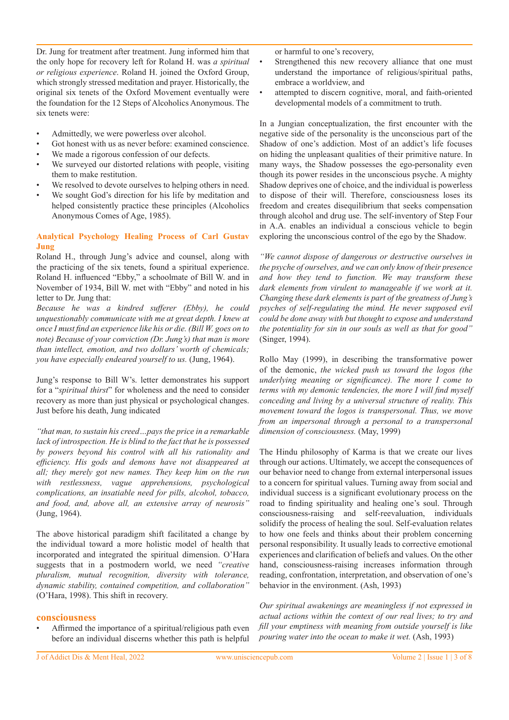Dr. Jung for treatment after treatment. Jung informed him that the only hope for recovery left for Roland H. was *a spiritual or religious experience*. Roland H. joined the Oxford Group, which strongly stressed meditation and prayer. Historically, the original six tenets of the Oxford Movement eventually were the foundation for the 12 Steps of Alcoholics Anonymous. The six tenets were:

- Admittedly, we were powerless over alcohol.
- Got honest with us as never before: examined conscience.
- We made a rigorous confession of our defects.
- We surveyed our distorted relations with people, visiting them to make restitution.
- We resolved to devote ourselves to helping others in need.
- We sought God's direction for his life by meditation and helped consistently practice these principles (Alcoholics Anonymous Comes of Age, 1985).

#### **Analytical Psychology Healing Process of Carl Gustav Jung**

Roland H., through Jung's advice and counsel, along with the practicing of the six tenets, found a spiritual experience. Roland H. influenced "Ebby," a schoolmate of Bill W. and in November of 1934, Bill W. met with "Ebby" and noted in his letter to Dr. Jung that:

*Because he was a kindred sufferer (Ebby), he could unquestionably communicate with me at great depth. I knew at once I must find an experience like his or die. (Bill W. goes on to note) Because of your conviction (Dr. Jung's) that man is more than intellect, emotion, and two dollars' worth of chemicals; you have especially endeared yourself to us.* (Jung, 1964).

Jung's response to Bill W's. letter demonstrates his support for a "*spiritual thirst*" for wholeness and the need to consider recovery as more than just physical or psychological changes. Just before his death, Jung indicated

*"that man, to sustain his creed…pays the price in a remarkable lack of introspection. He is blind to the fact that he is possessed by powers beyond his control with all his rationality and efficiency. His gods and demons have not disappeared at all; they merely got new names. They keep him on the run with restlessness, vague apprehensions, psychological complications, an insatiable need for pills, alcohol, tobacco, and food, and, above all, an extensive array of neurosis"*  (Jung, 1964).

The above historical paradigm shift facilitated a change by the individual toward a more holistic model of health that incorporated and integrated the spiritual dimension. O'Hara suggests that in a postmodern world, we need *"creative pluralism, mutual recognition, diversity with tolerance, dynamic stability, contained competition, and collaboration"* (O'Hara, 1998). This shift in recovery.

#### **consciousness**

Affirmed the importance of a spiritual/religious path even before an individual discerns whether this path is helpful or harmful to one's recovery,

- Strengthened this new recovery alliance that one must understand the importance of religious/spiritual paths, embrace a worldview, and
- attempted to discern cognitive, moral, and faith-oriented developmental models of a commitment to truth.

In a Jungian conceptualization, the first encounter with the negative side of the personality is the unconscious part of the Shadow of one's addiction. Most of an addict's life focuses on hiding the unpleasant qualities of their primitive nature. In many ways, the Shadow possesses the ego-personality even though its power resides in the unconscious psyche. A mighty Shadow deprives one of choice, and the individual is powerless to dispose of their will. Therefore, consciousness loses its freedom and creates disequilibrium that seeks compensation through alcohol and drug use. The self-inventory of Step Four in A.A. enables an individual a conscious vehicle to begin exploring the unconscious control of the ego by the Shadow.

*"We cannot dispose of dangerous or destructive ourselves in the psyche of ourselves, and we can only know of their presence and how they tend to function. We may transform these*  dark elements from virulent to manageable if we work at it. *Changing these dark elements is part of the greatness of Jung's psyches of self-regulating the mind. He never supposed evil could be done away with but thought to expose and understand the potentiality for sin in our souls as well as that for good"*  (Singer, 1994).

Rollo May (1999), in describing the transformative power of the demonic, *the wicked push us toward the logos (the underlying meaning or significance). The more I come to terms with my demonic tendencies, the more I will find myself conceding and living by a universal structure of reality. This movement toward the logos is transpersonal. Thus, we move from an impersonal through a personal to a transpersonal dimension of consciousness.* (May, 1999)

The Hindu philosophy of Karma is that we create our lives through our actions. Ultimately, we accept the consequences of our behavior need to change from external interpersonal issues to a concern for spiritual values. Turning away from social and individual success is a significant evolutionary process on the road to finding spirituality and healing one's soul. Through consciousness-raising and self-reevaluation, individuals solidify the process of healing the soul. Self-evaluation relates to how one feels and thinks about their problem concerning personal responsibility. It usually leads to corrective emotional experiences and clarification of beliefs and values. On the other hand, consciousness-raising increases information through reading, confrontation, interpretation, and observation of one's behavior in the environment. (Ash, 1993)

*Our spiritual awakenings are meaningless if not expressed in actual actions within the context of our real lives; to try and fill your emptiness with meaning from outside yourself is like pouring water into the ocean to make it wet.* (Ash, 1993)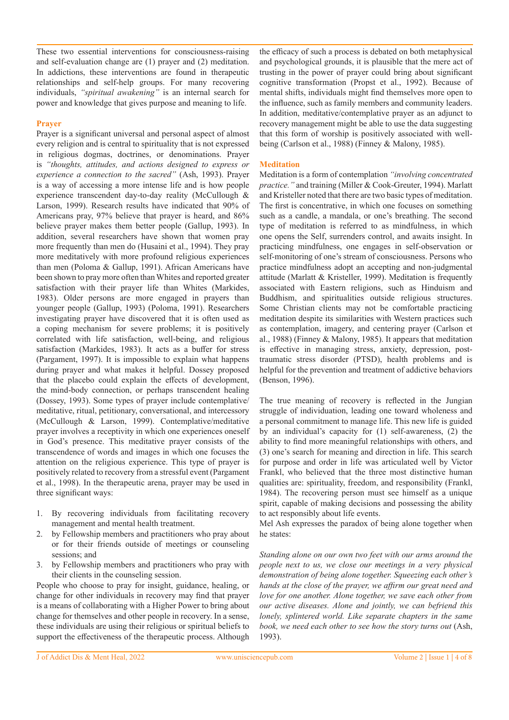These two essential interventions for consciousness-raising and self-evaluation change are (1) prayer and (2) meditation. In addictions, these interventions are found in therapeutic relationships and self-help groups. For many recovering individuals, *"spiritual awakening"* is an internal search for power and knowledge that gives purpose and meaning to life.

#### **Prayer**

Prayer is a significant universal and personal aspect of almost every religion and is central to spirituality that is not expressed in religious dogmas, doctrines, or denominations. Prayer is *"thoughts, attitudes, and actions designed to express or experience a connection to the sacred"* (Ash, 1993). Prayer is a way of accessing a more intense life and is how people experience transcendent day-to-day reality (McCullough & Larson, 1999). Research results have indicated that 90% of Americans pray, 97% believe that prayer is heard, and 86% believe prayer makes them better people (Gallup, 1993). In addition, several researchers have shown that women pray more frequently than men do (Husaini et al., 1994). They pray more meditatively with more profound religious experiences than men (Poloma & Gallup, 1991). African Americans have been shown to pray more often than Whites and reported greater satisfaction with their prayer life than Whites (Markides, 1983). Older persons are more engaged in prayers than younger people (Gallup, 1993) (Poloma, 1991). Researchers investigating prayer have discovered that it is often used as a coping mechanism for severe problems; it is positively correlated with life satisfaction, well-being, and religious satisfaction (Markides, 1983). It acts as a buffer for stress (Pargament, 1997). It is impossible to explain what happens during prayer and what makes it helpful. Dossey proposed that the placebo could explain the effects of development, the mind-body connection, or perhaps transcendent healing (Dossey, 1993). Some types of prayer include contemplative/ meditative, ritual, petitionary, conversational, and intercessory (McCullough & Larson, 1999). Contemplative/meditative prayer involves a receptivity in which one experiences oneself in God's presence. This meditative prayer consists of the transcendence of words and images in which one focuses the attention on the religious experience. This type of prayer is positively related to recovery from a stressful event (Pargament et al., 1998). In the therapeutic arena, prayer may be used in three significant ways:

- 1. By recovering individuals from facilitating recovery management and mental health treatment.
- 2. by Fellowship members and practitioners who pray about or for their friends outside of meetings or counseling sessions; and
- 3. by Fellowship members and practitioners who pray with their clients in the counseling session.

People who choose to pray for insight, guidance, healing, or change for other individuals in recovery may find that prayer is a means of collaborating with a Higher Power to bring about change for themselves and other people in recovery. In a sense, these individuals are using their religious or spiritual beliefs to support the effectiveness of the therapeutic process. Although

the efficacy of such a process is debated on both metaphysical and psychological grounds, it is plausible that the mere act of trusting in the power of prayer could bring about significant cognitive transformation (Propst et al., 1992). Because of mental shifts, individuals might find themselves more open to the influence, such as family members and community leaders. In addition, meditative/contemplative prayer as an adjunct to recovery management might be able to use the data suggesting that this form of worship is positively associated with wellbeing (Carlson et al., 1988) (Finney & Malony, 1985).

#### **Meditation**

Meditation is a form of contemplation *"involving concentrated practice."* and training (Miller & Cook-Greuter, 1994). Marlatt and Kristeller noted that there are two basic types of meditation. The first is concentrative, in which one focuses on something such as a candle, a mandala, or one's breathing. The second type of meditation is referred to as mindfulness, in which one opens the Self, surrenders control, and awaits insight. In practicing mindfulness, one engages in self-observation or self-monitoring of one's stream of consciousness. Persons who practice mindfulness adopt an accepting and non-judgmental attitude (Marlatt & Kristeller, 1999). Meditation is frequently associated with Eastern religions, such as Hinduism and Buddhism, and spiritualities outside religious structures. Some Christian clients may not be comfortable practicing meditation despite its similarities with Western practices such as contemplation, imagery, and centering prayer (Carlson et al., 1988) (Finney & Malony, 1985). It appears that meditation is effective in managing stress, anxiety, depression, posttraumatic stress disorder (PTSD), health problems and is helpful for the prevention and treatment of addictive behaviors (Benson, 1996).

The true meaning of recovery is reflected in the Jungian struggle of individuation, leading one toward wholeness and a personal commitment to manage life. This new life is guided by an individual's capacity for (1) self-awareness, (2) the ability to find more meaningful relationships with others, and (3) one's search for meaning and direction in life. This search for purpose and order in life was articulated well by Victor Frankl, who believed that the three most distinctive human qualities are: spirituality, freedom, and responsibility (Frankl, 1984). The recovering person must see himself as a unique spirit, capable of making decisions and possessing the ability to act responsibly about life events.

Mel Ash expresses the paradox of being alone together when he states:

*Standing alone on our own two feet with our arms around the people next to us, we close our meetings in a very physical demonstration of being alone together. Squeezing each other's hands at the close of the prayer, we affirm our great need and love for one another. Alone together, we save each other from our active diseases. Alone and jointly, we can befriend this lonely, splintered world. Like separate chapters in the same book, we need each other to see how the story turns out* (Ash, 1993).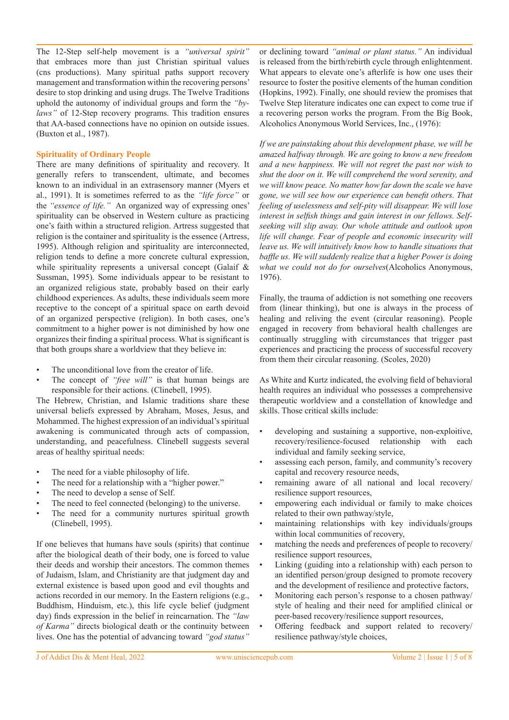The 12-Step self-help movement is a *"universal spirit"*  that embraces more than just Christian spiritual values (cns productions). Many spiritual paths support recovery management and transformation within the recovering persons' desire to stop drinking and using drugs. The Twelve Traditions uphold the autonomy of individual groups and form the *"bylaws"* of 12-Step recovery programs. This tradition ensures that AA-based connections have no opinion on outside issues. (Buxton et al., 1987).

#### **Spirituality of Ordinary People**

There are many definitions of spirituality and recovery. It generally refers to transcendent, ultimate, and becomes known to an individual in an extrasensory manner (Myers et al., 1991). It is sometimes referred to as the *"life force"* or the *"essence of life."* An organized way of expressing ones' spirituality can be observed in Western culture as practicing one's faith within a structured religion. Artress suggested that religion is the container and spirituality is the essence (Artress, 1995). Although religion and spirituality are interconnected, religion tends to define a more concrete cultural expression, while spirituality represents a universal concept (Galaif & Sussman, 1995). Some individuals appear to be resistant to an organized religious state, probably based on their early childhood experiences. As adults, these individuals seem more receptive to the concept of a spiritual space on earth devoid of an organized perspective (religion). In both cases, one's commitment to a higher power is not diminished by how one organizes their finding a spiritual process. What is significant is that both groups share a worldview that they believe in:

- The unconditional love from the creator of life.
- The concept of "free will" is that human beings are responsible for their actions. (Clinebell, 1995).

The Hebrew, Christian, and Islamic traditions share these universal beliefs expressed by Abraham, Moses, Jesus, and Mohammed. The highest expression of an individual's spiritual awakening is communicated through acts of compassion, understanding, and peacefulness. Clinebell suggests several areas of healthy spiritual needs:

- The need for a viable philosophy of life.
- The need for a relationship with a "higher power."
- The need to develop a sense of Self.
- The need to feel connected (belonging) to the universe.
- The need for a community nurtures spiritual growth (Clinebell, 1995).

If one believes that humans have souls (spirits) that continue after the biological death of their body, one is forced to value their deeds and worship their ancestors. The common themes of Judaism, Islam, and Christianity are that judgment day and external existence is based upon good and evil thoughts and actions recorded in our memory. In the Eastern religions (e.g., Buddhism, Hinduism, etc.), this life cycle belief (judgment day) finds expression in the belief in reincarnation. The *"law of Karma"* directs biological death or the continuity between lives. One has the potential of advancing toward *"god status"* 

or declining toward *"animal or plant status."* An individual is released from the birth/rebirth cycle through enlightenment. What appears to elevate one's afterlife is how one uses their resource to foster the positive elements of the human condition (Hopkins, 1992). Finally, one should review the promises that Twelve Step literature indicates one can expect to come true if a recovering person works the program. From the Big Book, Alcoholics Anonymous World Services, Inc., (1976):

*If we are painstaking about this development phase, we will be amazed halfway through. We are going to know a new freedom and a new happiness. We will not regret the past nor wish to shut the door on it. We will comprehend the word serenity, and we will know peace. No matter how far down the scale we have gone, we will see how our experience can benefit others. That feeling of uselessness and self-pity will disappear. We will lose interest in selfish things and gain interest in our fellows. Selfseeking will slip away. Our whole attitude and outlook upon life will change. Fear of people and economic insecurity will leave us. We will intuitively know how to handle situations that baffle us. We will suddenly realize that a higher Power is doing what we could not do for ourselves*(Alcoholics Anonymous, 1976).

Finally, the trauma of addiction is not something one recovers from (linear thinking), but one is always in the process of healing and reliving the event (circular reasoning). People engaged in recovery from behavioral health challenges are continually struggling with circumstances that trigger past experiences and practicing the process of successful recovery from them their circular reasoning. (Scoles, 2020)

As White and Kurtz indicated, the evolving field of behavioral health requires an individual who possesses a comprehensive therapeutic worldview and a constellation of knowledge and skills. Those critical skills include:

- developing and sustaining a supportive, non-exploitive, recovery/resilience-focused relationship with each individual and family seeking service,
- assessing each person, family, and community's recovery capital and recovery resource needs,
- remaining aware of all national and local recovery/ resilience support resources,
- empowering each individual or family to make choices related to their own pathway/style,
- maintaining relationships with key individuals/groups within local communities of recovery,
- matching the needs and preferences of people to recovery/ resilience support resources,
- Linking (guiding into a relationship with) each person to an identified person/group designed to promote recovery and the development of resilience and protective factors,
- Monitoring each person's response to a chosen pathway/ style of healing and their need for amplified clinical or peer-based recovery/resilience support resources,
- Offering feedback and support related to recovery/ resilience pathway/style choices,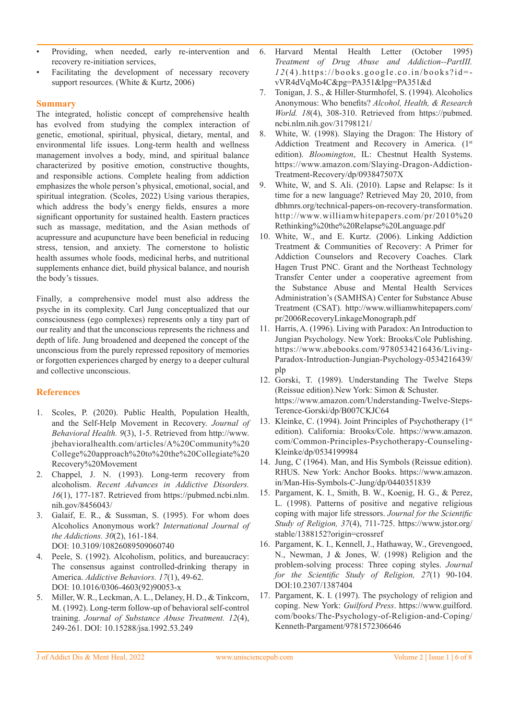- Providing, when needed, early re-intervention and recovery re-initiation services,
- Facilitating the development of necessary recovery support resources. (White & Kurtz, 2006)

#### **Summary**

The integrated, holistic concept of comprehensive health has evolved from studying the complex interaction of genetic, emotional, spiritual, physical, dietary, mental, and environmental life issues. Long-term health and wellness management involves a body, mind, and spiritual balance characterized by positive emotion, constructive thoughts, and responsible actions. Complete healing from addiction emphasizes the whole person's physical, emotional, social, and spiritual integration. (Scoles, 2022) Using various therapies, which address the body's energy fields, ensures a more significant opportunity for sustained health. Eastern practices such as massage, meditation, and the Asian methods of acupressure and acupuncture have been beneficial in reducing stress, tension, and anxiety. The cornerstone to holistic health assumes whole foods, medicinal herbs, and nutritional supplements enhance diet, build physical balance, and nourish the body's tissues.

Finally, a comprehensive model must also address the psyche in its complexity. Carl Jung conceptualized that our consciousness (ego complexes) represents only a tiny part of our reality and that the unconscious represents the richness and depth of life. Jung broadened and deepened the concept of the unconscious from the purely repressed repository of memories or forgotten experiences charged by energy to a deeper cultural and collective unconscious.

## **References**

- 1. Scoles, P. (2020). Public Health, Population Health, and the Self-Help Movement in Recovery. *Journal of Behavioral Health. 9*(3), 1-5. Retrieved from http://www. jbehavioralhealth.com/articles/A%20Community%20 College%20approach%20to%20the%20Collegiate%20 Recovery%20Movement
- 2. Chappel, J. N. (1993). Long-term recovery from alcoholism. *Recent Advances in Addictive Disorders. 16*(1), 177-187. Retrieved from https://pubmed.ncbi.nlm. nih.gov/8456043/
- 3. Galaif, E. R., & Sussman, S. (1995). For whom does Alcoholics Anonymous work? *International Journal of the Addictions. 30*(2), 161-184. DOI: 10.3109/10826089509060740
- 4. Peele, S. (1992). Alcoholism, politics, and bureaucracy: The consensus against controlled-drinking therapy in America. *Addictive Behaviors. 17*(1), 49-62. DOI: 10.1016/0306-4603(92)90053-x
- 5. Miller, W. R., Leckman, A. L., Delaney, H. D., & Tinkcorn, M. (1992). Long-term follow-up of behavioral self-control training. *Journal of Substance Abuse Treatment. 12*(4), 249-261. DOI: 10.15288/jsa.1992.53.249
- 6. Harvard Mental Health Letter (October 1995) *Treatment of Drug Abuse and Addiction--PartIII. 1 2* (4).https://books.google.co.in/books?id= vVR4dVqMo4C&pg=PA351&lpg=PA351&d
- 7. Tonigan, J. S., & Hiller-Sturmhofel, S. (1994). Alcoholics Anonymous: Who benefits? *Alcohol, Health, & Research World. 18*(4), 308-310. Retrieved from https://pubmed. ncbi.nlm.nih.gov/31798121/
- 8. White, W. (1998). Slaying the Dragon: The History of Addiction Treatment and Recovery in America. (1st edition). *Bloomington*, IL: Chestnut Health Systems. https://www.amazon.com/Slaying-Dragon-Addiction-Treatment-Recovery/dp/093847507X
- 9. White, W, and S. Ali. (2010). Lapse and Relapse: Is it time for a new language? Retrieved May 20, 2010, from dbhmrs.org/technical-papers-on-recovery-transformation. http://www.williamwhitepapers.com/pr/2010%20 Rethinking%20the%20Relapse%20Language.pdf
- 10. White, W., and E. Kurtz. (2006). Linking Addiction Treatment & Communities of Recovery: A Primer for Addiction Counselors and Recovery Coaches. Clark Hagen Trust PNC. Grant and the Northeast Technology Transfer Center under a cooperative agreement from the Substance Abuse and Mental Health Services Administration's (SAMHSA) Center for Substance Abuse Treatment (CSAT). http://www.williamwhitepapers.com/ pr/2006RecoveryLinkageMonograph.pdf
- 11. Harris, A. (1996). Living with Paradox: An Introduction to Jungian Psychology. New York: Brooks/Cole Publishing. https://www.abebooks.com/9780534216436/Living-Paradox-Introduction-Jungian-Psychology-0534216439/ plp
- 12. Gorski, T. (1989). Understanding The Twelve Steps (Reissue edition).New York: Simon & Schuster. https://www.amazon.com/Understanding-Twelve-Steps-Terence-Gorski/dp/B007CKJC64
- 13. Kleinke, C. (1994). Joint Principles of Psychotherapy (1st) edition). California: Brooks/Cole. https://www.amazon. com/Common-Principles-Psychotherapy-Counseling-Kleinke/dp/0534199984
- 14. Jung, C (1964). Man, and His Symbols (Reissue edition). RHUS. New York: Anchor Books. https://www.amazon. in/Man-His-Symbols-C-Jung/dp/0440351839
- 15. Pargament, K. I., Smith, B. W., Koenig, H. G., & Perez, L. (1998). Patterns of positive and negative religious coping with major life stressors. *Journal for the Scientific Study of Religion, 37*(4), 711-725. https://www.jstor.org/ stable/1388152?origin=crossref
- 16. Pargament, K. I., Kennell, J., Hathaway, W., Grevengoed, N., Newman, J & Jones, W. (1998) Religion and the problem-solving process: Three coping styles. *Journal for the Scientific Study of Religion, 27*(1) 90-104. DOI:10.2307/1387404
- 17. Pargament, K. I. (1997). The psychology of religion and coping. New York: *Guilford Press*. https://www.guilford. com/books/The-Psychology-of-Religion-and-Coping/ Kenneth-Pargament/9781572306646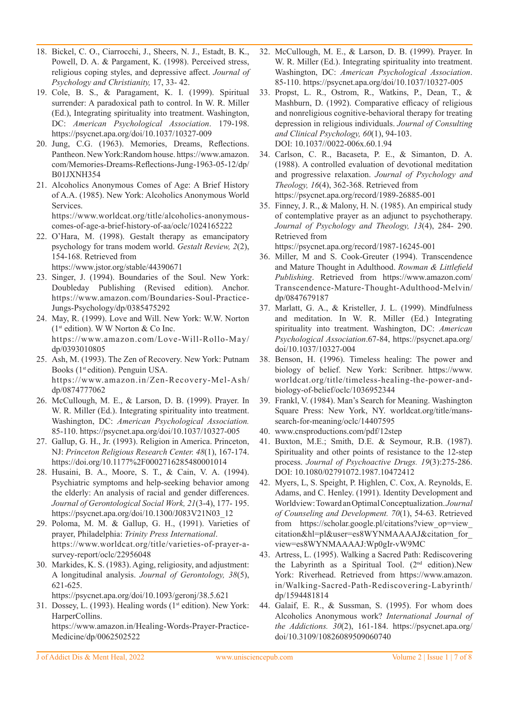- 18. Bickel, C. O., Ciarrocchi, J., Sheers, N. J., Estadt, B. K., Powell, D. A. & Pargament, K. (1998). Perceived stress, religious coping styles, and depressive affect. *Journal of Psychology and Christianity,* 17, 33- 42.
- 19. Cole, B. S., & Paragament, K. I. (1999). Spiritual surrender: A paradoxical path to control. In W. R. Miller (Ed.), Integrating spirituality into treatment. Washington, DC: *American Psychological Association*. 179-198. https://psycnet.apa.org/doi/10.1037/10327-009
- 20. Jung, C.G. (1963). Memories, Dreams, Reflections. Pantheon. New York:Random house. https://www.amazon. com/Memories-Dreams-Reflections-Jung-1963-05-12/dp/ B01JXNH354
- 21. Alcoholics Anonymous Comes of Age: A Brief History of A.A. (1985). New York: Alcoholics Anonymous World Services. https://www.worldcat.org/title/alcoholics-anonymous-

comes-of-age-a-brief-history-of-aa/oclc/1024165222 22. O'Hara, M. (1998). Gestalt therapy as emancipatory psychology for trans modem world. *Gestalt Review, 2*(2), 154-168. Retrieved from

https://www.jstor.org/stable/44390671

- 23. Singer, J. (1994). Boundaries of the Soul. New York: Doubleday Publishing (Revised edition). Anchor. https://www.amazon.com/Boundaries-Soul-Practice-Jungs-Psychology/dp/0385475292
- 24. May, R. (1999). Love and Will. New York: W.W. Norton ( $1<sup>st</sup>$  edition). W W Norton & Co Inc. https://www.amazon.com/Love-Will-Rollo-May/ dp/0393010805
- 25. Ash, M. (1993). The Zen of Recovery. New York: Putnam Books (1<sup>st</sup> edition). Penguin USA. https://www.amazon.in/Zen-Recovery-Mel-Ash/ dp/0874777062
- 26. McCullough, M. E., & Larson, D. B. (1999). Prayer. In W. R. Miller (Ed.). Integrating spirituality into treatment. Washington, DC: *American Psychological Association.*  85-110. https://psycnet.apa.org/doi/10.1037/10327-005
- 27. Gallup, G. H., Jr. (1993). Religion in America. Princeton, NJ: *Princeton Religious Research Center. 48*(1), 167-174. https://doi.org/10.1177%2F0002716285480001014
- 28. Husaini, B. A., Moore, S. T., & Cain, V. A. (1994). Psychiatric symptoms and help-seeking behavior among the elderly: An analysis of racial and gender differences. *Journal of Gerontological Social Work, 21*(3-4), 177- 195. https://psycnet.apa.org/doi/10.1300/J083V21N03\_12
- 29. Poloma, M. M. & Gallup, G. H., (1991). Varieties of prayer, Philadelphia: *Trinity Press International*. https://www.worldcat.org/title/varieties-of-prayer-asurvey-report/oclc/22956048
- 30. Markides, K. S. (1983). Aging, religiosity, and adjustment: A longitudinal analysis. *Journal of Gerontology, 38*(5), 621-625.

https://psycnet.apa.org/doi/10.1093/geronj/38.5.621

31. Dossey, L. (1993). Healing words (1<sup>st</sup> edition). New York: HarperCollins. https://www.amazon.in/Healing-Words-Prayer-Practice-Medicine/dp/0062502522

- 32. McCullough, M. E., & Larson, D. B. (1999). Prayer. In W. R. Miller (Ed.). Integrating spirituality into treatment. Washington, DC: *American Psychological Association*. 85-110. https://psycnet.apa.org/doi/10.1037/10327-005
- 33. Propst, L. R., Ostrom, R., Watkins, P., Dean, T., & Mashburn, D. (1992). Comparative efficacy of religious and nonreligious cognitive-behavioral therapy for treating depression in religious individuals. *Journal of Consulting and Clinical Psychology, 60*(1), 94-103. DOI: 10.1037//0022-006x.60.1.94
- 34. Carlson, C. R., Bacaseta, P. E., & Simanton, D. A. (1988). A controlled evaluation of devotional meditation and progressive relaxation. *Journal of Psychology and Theology, 16*(4), 362-368. Retrieved from https://psycnet.apa.org/record/1989-26885-001
- 35. Finney, J. R., & Malony, H. N. (1985). An empirical study of contemplative prayer as an adjunct to psychotherapy. *Journal of Psychology and Theology, 13*(4), 284- 290. Retrieved from

https://psycnet.apa.org/record/1987-16245-001

- 36. Miller, M and S. Cook-Greuter (1994). Transcendence and Mature Thought in Adulthood. *Rowman & Littlefield Publishing*. Retrieved from https://www.amazon.com/ Transcendence-Mature-Thought-Adulthood-Melvin/ dp/0847679187
- 37. Marlatt, G. A., & Kristeller, J. L. (1999). Mindfulness and meditation. In W. R. Miller (Ed.) Integrating spirituality into treatment. Washington, DC: *American Psychological Association*.67-84, https://psycnet.apa.org/ doi/10.1037/10327-004
- 38. Benson, H. (1996). Timeless healing: The power and biology of belief. New York: Scribner. https://www. worldcat.org/title/timeless-healing-the-power-andbiology-of-belief/oclc/1036952344
- 39. Frankl, V. (1984). Man's Search for Meaning. Washington Square Press: New York, NY. worldcat.org/title/manssearch-for-meaning/oclc/14407595
- 40. www.cnsproductions.com/pdf/12step
- 41. Buxton, M.E.; Smith, D.E. & Seymour, R.B. (1987). Spirituality and other points of resistance to the 12-step process. *Journal of Psychoactive Drugs. 19*(3):275-286. DOI: 10.1080/02791072.1987.10472412
- 42. Myers, L, S. Speight, P. Highlen, C. Cox, A. Reynolds, E. Adams, and C. Henley. (1991). Identity Development and Worldview: Toward an Optimal Conceptualization. *Journal of Counseling and Development. 70*(1), 54-63. Retrieved from https://scholar.google.pl/citations?view\_op=view\_ citation&hl=pl&user=es8WYNMAAAAJ&citation\_for\_ view=es8WYNMAAAAJ:Wp0gIr-vW9MC
- 43. Artress, L. (1995). Walking a Sacred Path: Rediscovering the Labyrinth as a Spiritual Tool. (2nd edition).New York: Riverhead. Retrieved from https://www.amazon. in/Walking-Sacred-Path-Rediscovering-Labyrinth/ dp/1594481814
- 44. Galaif, E. R., & Sussman, S. (1995). For whom does Alcoholics Anonymous work? *International Journal of the Addictions. 30*(2), 161-184. https://psycnet.apa.org/ doi/10.3109/10826089509060740